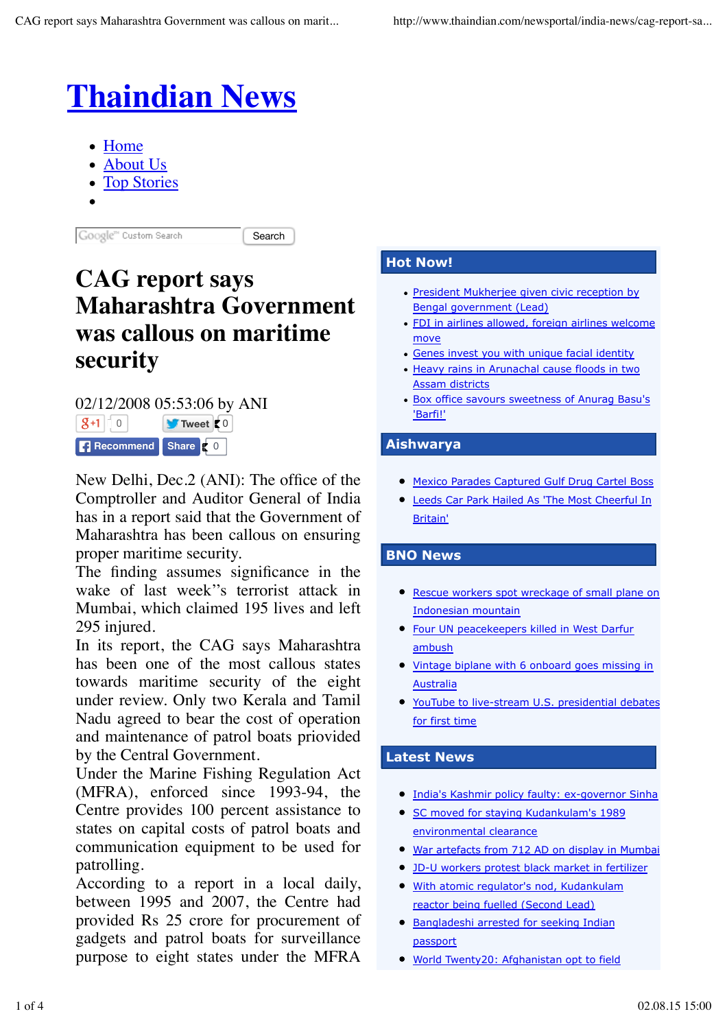

- Home
- About Us
- Top Stories
- 

Google" Custom Search

Search

# **CAG report says Maharashtra Government was callous on maritime security**

02/12/2008 05:53:06 by ANI 0 **Tweet** 0 **Recommend** Share **C** 0

New Delhi, Dec.2 (ANI): The office of the Comptroller and Auditor General of India has in a report said that the Government of Maharashtra has been callous on ensuring proper maritime security.

The finding assumes significance in the wake of last week''s terrorist attack in Mumbai, which claimed 195 lives and left 295 injured.

In its report, the CAG says Maharashtra has been one of the most callous states towards maritime security of the eight under review. Only two Kerala and Tamil Nadu agreed to bear the cost of operation and maintenance of patrol boats priovided by the Central Government.

Under the Marine Fishing Regulation Act (MFRA), enforced since 1993-94, the Centre provides 100 percent assistance to states on capital costs of patrol boats and communication equipment to be used for patrolling.

According to a report in a local daily, between 1995 and 2007, the Centre had provided Rs 25 crore for procurement of gadgets and patrol boats for surveillance purpose to eight states under the MFRA

### **Hot Now!**

- President Mukherjee given civic reception by Bengal government (Lead)
- FDI in airlines allowed, foreign airlines welcome move
- Genes invest you with unique facial identity
- Heavy rains in Arunachal cause floods in two Assam districts
- Box office savours sweetness of Anurag Basu's 'Barfi!'

## **Aishwarya**

- Mexico Parades Captured Gulf Drug Cartel Boss
- Leeds Car Park Hailed As 'The Most Cheerful In Britain'

#### **BNO News**

- **Rescue workers spot wreckage of small plane on** Indonesian mountain
- **Four UN peacekeepers killed in West Darfur** ambush
- Vintage biplane with 6 onboard goes missing in Australia
- YouTube to live-stream U.S. presidential debates for first time

## **Latest News**

- **India's Kashmir policy faulty: ex-governor Sinha**
- SC moved for staving Kudankulam's 1989 environmental clearance
- War artefacts from 712 AD on display in Mumbai
- JD-U workers protest black market in fertilizer
- With atomic regulator's nod, Kudankulam reactor being fuelled (Second Lead)
- Bangladeshi arrested for seeking Indian passport
- World Twenty20: Afghanistan opt to field